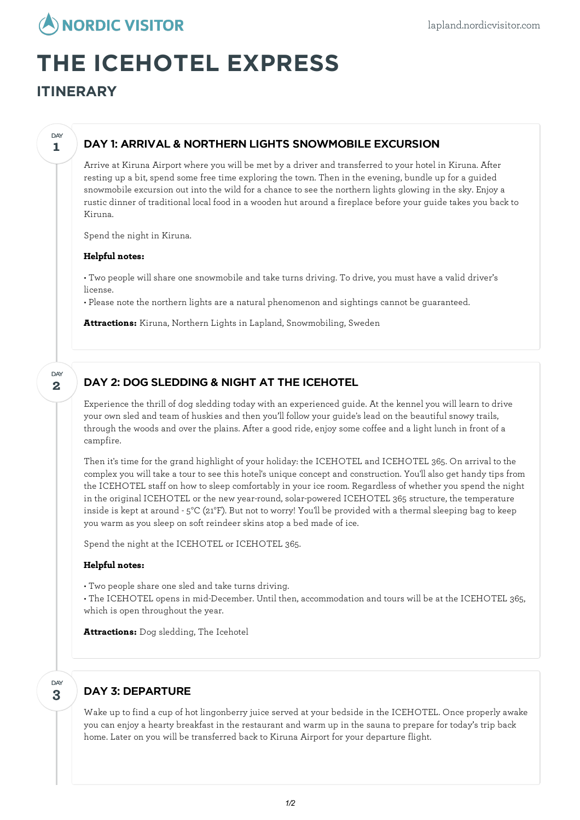

# **THE ICEHOTEL EXPRESS**

**ITINERARY**

**1**

**DAY** 

## DAY 1: ARRIVAL & NORTHERN LIGHTS SNOWMOBILE EXCURSION

Arrive at Kiruna Airport where you will be met by a driver and transferred to your hotel in Kiruna. After resting up a bit, spend some free time exploring the town. Then in the evening, bundle up for a guided snowmobile excursion out into the wild for a chance to see the northern lights glowing in the sky. Enjoy a rustic dinner of traditional local food in a wooden hut around a fireplace before your guide takes you back to Kiruna.

Spend the night in Kiruna.

#### **Helpful notes:**

• Two people will share one snowmobile and take turns driving. To drive, you must have a valid driver's license.

• Please note the northern lights are a natural phenomenon and sightings cannot be guaranteed.

**Attractions:** Kiruna, Northern Lights in Lapland, Snowmobiling, Sweden

**2 DAY** 

## DAY 2: DOG SLEDDING & NIGHT AT THE ICEHOTEL

Experience the thrill of dog sledding today with an experienced guide. At the kennel you will learn to drive your own sled and team of huskies and then you'll follow your guide's lead on the beautiful snowy trails, through the woods and over the plains. After a good ride, enjoy some coffee and a light lunch in front of a campfire.

Then it's time for the grand highlight of your holiday: the ICEHOTEL and ICEHOTEL 365. On arrival to the complex you will take a tour to see this hotel's unique concept and construction. You'll also get handy tips from the ICEHOTEL staff on how to sleep comfortably in your ice room. Regardless of whether you spend the night in the original ICEHOTEL or the new year-round, solar-powered ICEHOTEL 365 structure, the temperature inside is kept at around - 5°C (21°F). But not to worry! You'll be provided with a thermal sleeping bag to keep you warm as you sleep on soft reindeer skins atop a bed made of ice.

Spend the night at the ICEHOTEL or ICEHOTEL 365.

#### **Helpful notes:**

• Two people share one sled and take turns driving.

• The ICEHOTEL opens in mid-December. Until then, accommodation and tours will be at the ICEHOTEL 365, which is open throughout the year.

**Attractions:** Dog sledding, The Icehotel

#### **3** DAY

## DAY 3: DEPARTURE

Wake up to find a cup of hot lingonberry juice served at your bedside in the ICEHOTEL. Once properly awake you can enjoy a hearty breakfast in the restaurant and warm up in the sauna to prepare for today's trip back home. Later on you will be transferred back to Kiruna Airport for your departure flight.